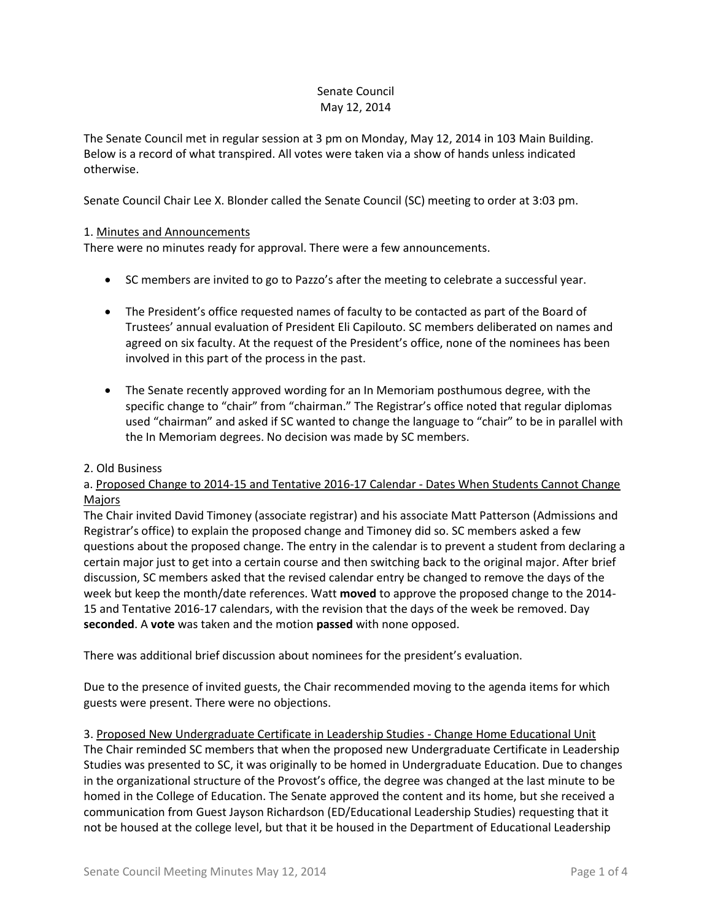### Senate Council May 12, 2014

The Senate Council met in regular session at 3 pm on Monday, May 12, 2014 in 103 Main Building. Below is a record of what transpired. All votes were taken via a show of hands unless indicated otherwise.

Senate Council Chair Lee X. Blonder called the Senate Council (SC) meeting to order at 3:03 pm.

# 1. Minutes and Announcements

There were no minutes ready for approval. There were a few announcements.

- SC members are invited to go to Pazzo's after the meeting to celebrate a successful year.
- The President's office requested names of faculty to be contacted as part of the Board of Trustees' annual evaluation of President Eli Capilouto. SC members deliberated on names and agreed on six faculty. At the request of the President's office, none of the nominees has been involved in this part of the process in the past.
- The Senate recently approved wording for an In Memoriam posthumous degree, with the specific change to "chair" from "chairman." The Registrar's office noted that regular diplomas used "chairman" and asked if SC wanted to change the language to "chair" to be in parallel with the In Memoriam degrees. No decision was made by SC members.

### 2. Old Business

# a. Proposed Change to 2014-15 and Tentative 2016-17 Calendar - Dates When Students Cannot Change Majors

The Chair invited David Timoney (associate registrar) and his associate Matt Patterson (Admissions and Registrar's office) to explain the proposed change and Timoney did so. SC members asked a few questions about the proposed change. The entry in the calendar is to prevent a student from declaring a certain major just to get into a certain course and then switching back to the original major. After brief discussion, SC members asked that the revised calendar entry be changed to remove the days of the week but keep the month/date references. Watt **moved** to approve the proposed change to the 2014- 15 and Tentative 2016-17 calendars, with the revision that the days of the week be removed. Day **seconded**. A **vote** was taken and the motion **passed** with none opposed.

There was additional brief discussion about nominees for the president's evaluation.

Due to the presence of invited guests, the Chair recommended moving to the agenda items for which guests were present. There were no objections.

3. Proposed New Undergraduate Certificate in Leadership Studies - Change Home Educational Unit The Chair reminded SC members that when the proposed new Undergraduate Certificate in Leadership Studies was presented to SC, it was originally to be homed in Undergraduate Education. Due to changes in the organizational structure of the Provost's office, the degree was changed at the last minute to be homed in the College of Education. The Senate approved the content and its home, but she received a communication from Guest Jayson Richardson (ED/Educational Leadership Studies) requesting that it not be housed at the college level, but that it be housed in the Department of Educational Leadership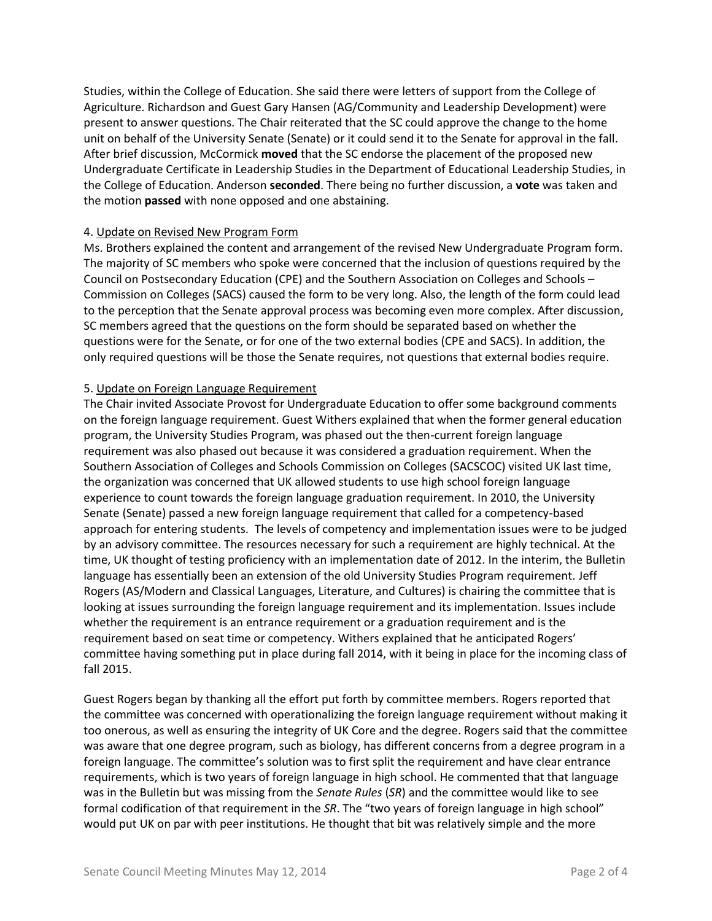Studies, within the College of Education. She said there were letters of support from the College of Agriculture. Richardson and Guest Gary Hansen (AG/Community and Leadership Development) were present to answer questions. The Chair reiterated that the SC could approve the change to the home unit on behalf of the University Senate (Senate) or it could send it to the Senate for approval in the fall. After brief discussion, McCormick **moved** that the SC endorse the placement of the proposed new Undergraduate Certificate in Leadership Studies in the Department of Educational Leadership Studies, in the College of Education. Anderson **seconded**. There being no further discussion, a **vote** was taken and the motion **passed** with none opposed and one abstaining.

### 4. Update on Revised New Program Form

Ms. Brothers explained the content and arrangement of the revised New Undergraduate Program form. The majority of SC members who spoke were concerned that the inclusion of questions required by the Council on Postsecondary Education (CPE) and the Southern Association on Colleges and Schools – Commission on Colleges (SACS) caused the form to be very long. Also, the length of the form could lead to the perception that the Senate approval process was becoming even more complex. After discussion, SC members agreed that the questions on the form should be separated based on whether the questions were for the Senate, or for one of the two external bodies (CPE and SACS). In addition, the only required questions will be those the Senate requires, not questions that external bodies require.

### 5. Update on Foreign Language Requirement

The Chair invited Associate Provost for Undergraduate Education to offer some background comments on the foreign language requirement. Guest Withers explained that when the former general education program, the University Studies Program, was phased out the then-current foreign language requirement was also phased out because it was considered a graduation requirement. When the Southern Association of Colleges and Schools Commission on Colleges (SACSCOC) visited UK last time, the organization was concerned that UK allowed students to use high school foreign language experience to count towards the foreign language graduation requirement. In 2010, the University Senate (Senate) passed a new foreign language requirement that called for a competency-based approach for entering students. The levels of competency and implementation issues were to be judged by an advisory committee. The resources necessary for such a requirement are highly technical. At the time, UK thought of testing proficiency with an implementation date of 2012. In the interim, the Bulletin language has essentially been an extension of the old University Studies Program requirement. Jeff Rogers (AS/Modern and Classical Languages, Literature, and Cultures) is chairing the committee that is looking at issues surrounding the foreign language requirement and its implementation. Issues include whether the requirement is an entrance requirement or a graduation requirement and is the requirement based on seat time or competency. Withers explained that he anticipated Rogers' committee having something put in place during fall 2014, with it being in place for the incoming class of fall 2015.

Guest Rogers began by thanking all the effort put forth by committee members. Rogers reported that the committee was concerned with operationalizing the foreign language requirement without making it too onerous, as well as ensuring the integrity of UK Core and the degree. Rogers said that the committee was aware that one degree program, such as biology, has different concerns from a degree program in a foreign language. The committee's solution was to first split the requirement and have clear entrance requirements, which is two years of foreign language in high school. He commented that that language was in the Bulletin but was missing from the *Senate Rules* (*SR*) and the committee would like to see formal codification of that requirement in the *SR*. The "two years of foreign language in high school" would put UK on par with peer institutions. He thought that bit was relatively simple and the more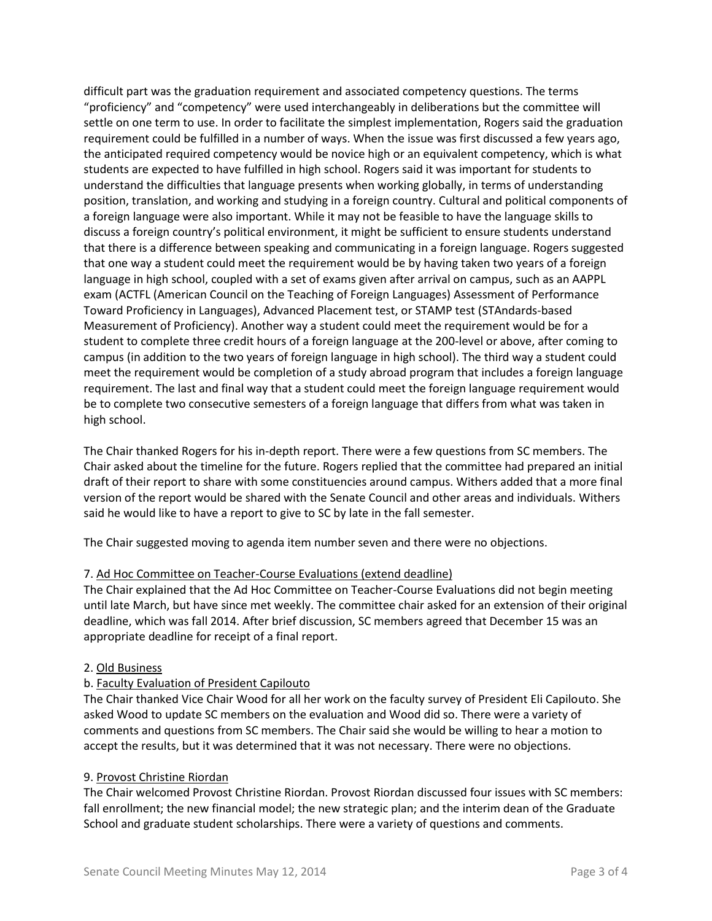difficult part was the graduation requirement and associated competency questions. The terms "proficiency" and "competency" were used interchangeably in deliberations but the committee will settle on one term to use. In order to facilitate the simplest implementation, Rogers said the graduation requirement could be fulfilled in a number of ways. When the issue was first discussed a few years ago, the anticipated required competency would be novice high or an equivalent competency, which is what students are expected to have fulfilled in high school. Rogers said it was important for students to understand the difficulties that language presents when working globally, in terms of understanding position, translation, and working and studying in a foreign country. Cultural and political components of a foreign language were also important. While it may not be feasible to have the language skills to discuss a foreign country's political environment, it might be sufficient to ensure students understand that there is a difference between speaking and communicating in a foreign language. Rogers suggested that one way a student could meet the requirement would be by having taken two years of a foreign language in high school, coupled with a set of exams given after arrival on campus, such as an AAPPL exam (ACTFL (American Council on the Teaching of Foreign Languages) Assessment of Performance Toward Proficiency in Languages), Advanced Placement test, or STAMP test (STAndards-based Measurement of Proficiency). Another way a student could meet the requirement would be for a student to complete three credit hours of a foreign language at the 200-level or above, after coming to campus (in addition to the two years of foreign language in high school). The third way a student could meet the requirement would be completion of a study abroad program that includes a foreign language requirement. The last and final way that a student could meet the foreign language requirement would be to complete two consecutive semesters of a foreign language that differs from what was taken in high school.

The Chair thanked Rogers for his in-depth report. There were a few questions from SC members. The Chair asked about the timeline for the future. Rogers replied that the committee had prepared an initial draft of their report to share with some constituencies around campus. Withers added that a more final version of the report would be shared with the Senate Council and other areas and individuals. Withers said he would like to have a report to give to SC by late in the fall semester.

The Chair suggested moving to agenda item number seven and there were no objections.

### 7. Ad Hoc Committee on Teacher-Course Evaluations (extend deadline)

The Chair explained that the Ad Hoc Committee on Teacher-Course Evaluations did not begin meeting until late March, but have since met weekly. The committee chair asked for an extension of their original deadline, which was fall 2014. After brief discussion, SC members agreed that December 15 was an appropriate deadline for receipt of a final report.

### 2. Old Business

### b. Faculty Evaluation of President Capilouto

The Chair thanked Vice Chair Wood for all her work on the faculty survey of President Eli Capilouto. She asked Wood to update SC members on the evaluation and Wood did so. There were a variety of comments and questions from SC members. The Chair said she would be willing to hear a motion to accept the results, but it was determined that it was not necessary. There were no objections.

### 9. Provost Christine Riordan

The Chair welcomed Provost Christine Riordan. Provost Riordan discussed four issues with SC members: fall enrollment; the new financial model; the new strategic plan; and the interim dean of the Graduate School and graduate student scholarships. There were a variety of questions and comments.